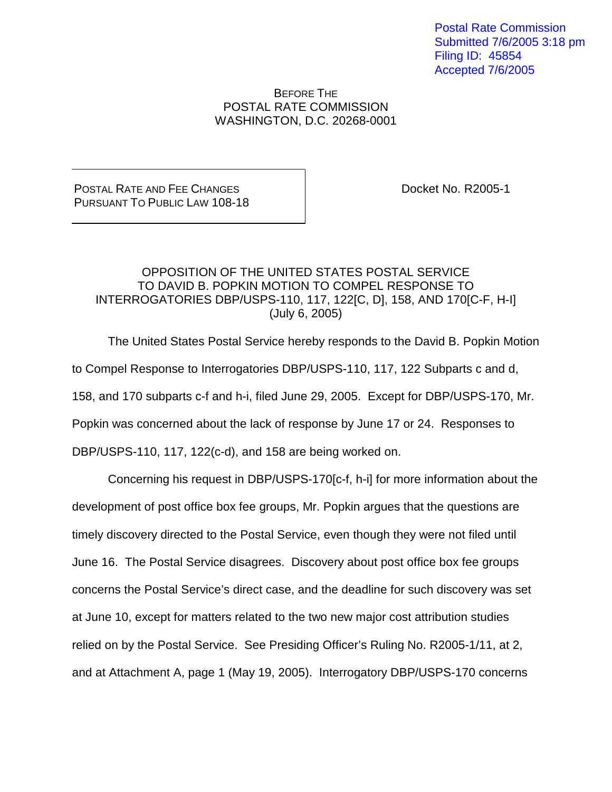Postal Rate Commission Submitted 7/6/2005 3:18 pm Filing ID: 45854 Accepted 7/6/2005

## BEFORE THE POSTAL RATE COMMISSION WASHINGTON, D.C. 20268-0001

POSTAL RATE AND FEE CHANGES PURSUANT TO PUBLIC LAW 108-18 Docket No. R2005-1

## OPPOSITION OF THE UNITED STATES POSTAL SERVICE TO DAVID B. POPKIN MOTION TO COMPEL RESPONSE TO INTERROGATORIES DBP/USPS-110, 117, 122[C, D], 158, AND 170[C-F, H-I] (July 6, 2005)

The United States Postal Service hereby responds to the David B. Popkin Motion to Compel Response to Interrogatories DBP/USPS-110, 117, 122 Subparts c and d, 158, and 170 subparts c-f and h-i, filed June 29, 2005. Except for DBP/USPS-170, Mr. Popkin was concerned about the lack of response by June 17 or 24. Responses to DBP/USPS-110, 117, 122(c-d), and 158 are being worked on.

Concerning his request in DBP/USPS-170[c-f, h-i] for more information about the development of post office box fee groups, Mr. Popkin argues that the questions are timely discovery directed to the Postal Service, even though they were not filed until June 16. The Postal Service disagrees. Discovery about post office box fee groups concerns the Postal Service's direct case, and the deadline for such discovery was set at June 10, except for matters related to the two new major cost attribution studies relied on by the Postal Service. See Presiding Officer's Ruling No. R2005-1/11, at 2, and at Attachment A, page 1 (May 19, 2005). Interrogatory DBP/USPS-170 concerns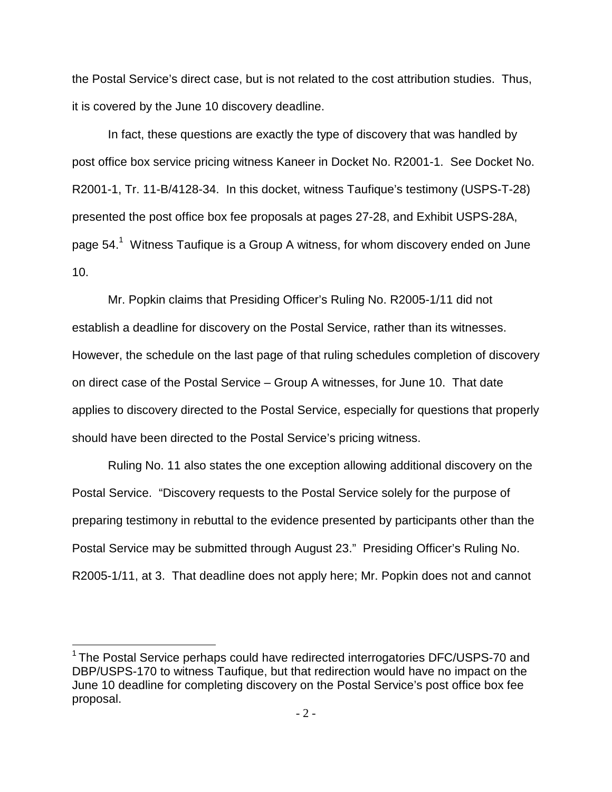the Postal Service's direct case, but is not related to the cost attribution studies. Thus, it is covered by the June 10 discovery deadline.

In fact, these questions are exactly the type of discovery that was handled by post office box service pricing witness Kaneer in Docket No. R2001-1. See Docket No. R2001-1, Tr. 11-B/4128-34. In this docket, witness Taufique's testimony (USPS-T-28) presented the post office box fee proposals at pages 27-28, and Exhibit USPS-28A, page  $54.<sup>1</sup>$  Witness Taufique is a Group A witness, for whom discovery ended on June 10.

 Mr. Popkin claims that Presiding Officer's Ruling No. R2005-1/11 did not establish a deadline for discovery on the Postal Service, rather than its witnesses. However, the schedule on the last page of that ruling schedules completion of discovery on direct case of the Postal Service – Group A witnesses, for June 10. That date applies to discovery directed to the Postal Service, especially for questions that properly should have been directed to the Postal Service's pricing witness.

Ruling No. 11 also states the one exception allowing additional discovery on the Postal Service. "Discovery requests to the Postal Service solely for the purpose of preparing testimony in rebuttal to the evidence presented by participants other than the Postal Service may be submitted through August 23." Presiding Officer's Ruling No. R2005-1/11, at 3. That deadline does not apply here; Mr. Popkin does not and cannot

 $1$  The Postal Service perhaps could have redirected interrogatories DFC/USPS-70 and DBP/USPS-170 to witness Taufique, but that redirection would have no impact on the June 10 deadline for completing discovery on the Postal Service's post office box fee proposal.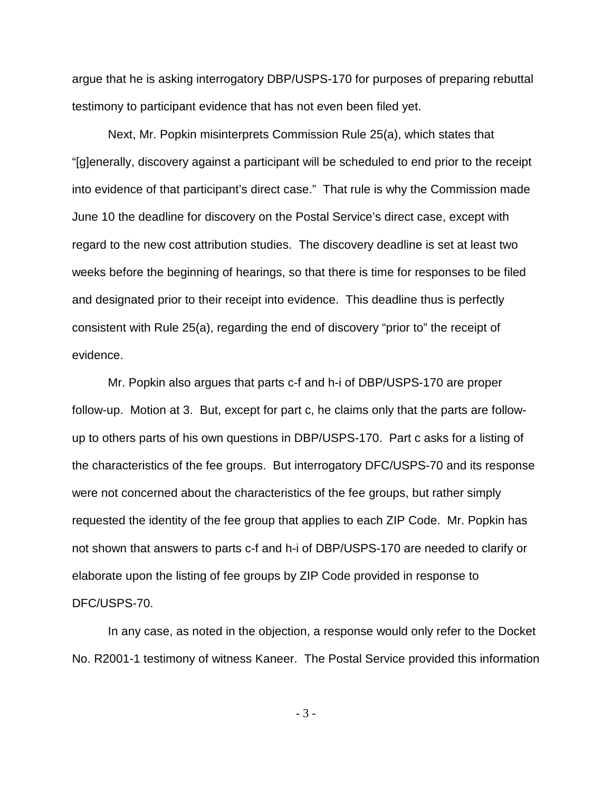argue that he is asking interrogatory DBP/USPS-170 for purposes of preparing rebuttal testimony to participant evidence that has not even been filed yet.

Next, Mr. Popkin misinterprets Commission Rule 25(a), which states that "[g]enerally, discovery against a participant will be scheduled to end prior to the receipt into evidence of that participant's direct case." That rule is why the Commission made June 10 the deadline for discovery on the Postal Service's direct case, except with regard to the new cost attribution studies. The discovery deadline is set at least two weeks before the beginning of hearings, so that there is time for responses to be filed and designated prior to their receipt into evidence. This deadline thus is perfectly consistent with Rule 25(a), regarding the end of discovery "prior to" the receipt of evidence.

 Mr. Popkin also argues that parts c-f and h-i of DBP/USPS-170 are proper follow-up. Motion at 3. But, except for part c, he claims only that the parts are followup to others parts of his own questions in DBP/USPS-170. Part c asks for a listing of the characteristics of the fee groups. But interrogatory DFC/USPS-70 and its response were not concerned about the characteristics of the fee groups, but rather simply requested the identity of the fee group that applies to each ZIP Code. Mr. Popkin has not shown that answers to parts c-f and h-i of DBP/USPS-170 are needed to clarify or elaborate upon the listing of fee groups by ZIP Code provided in response to DFC/USPS-70.

 In any case, as noted in the objection, a response would only refer to the Docket No. R2001-1 testimony of witness Kaneer. The Postal Service provided this information

- 3 -